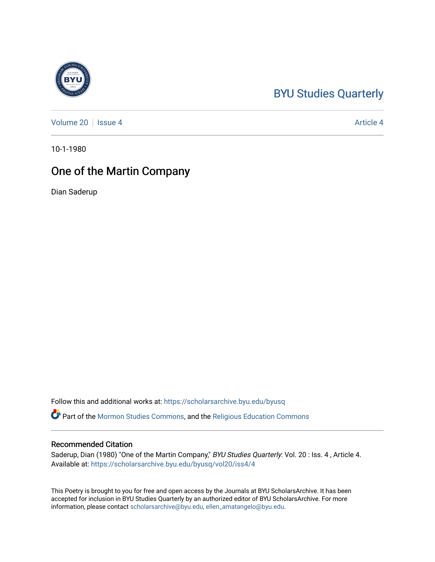### [BYU Studies Quarterly](https://scholarsarchive.byu.edu/byusq)

[Volume 20](https://scholarsarchive.byu.edu/byusq/vol20) | [Issue 4](https://scholarsarchive.byu.edu/byusq/vol20/iss4) Article 4

10-1-1980

## One of the Martin Company

Dian Saderup

Follow this and additional works at: [https://scholarsarchive.byu.edu/byusq](https://scholarsarchive.byu.edu/byusq?utm_source=scholarsarchive.byu.edu%2Fbyusq%2Fvol20%2Fiss4%2F4&utm_medium=PDF&utm_campaign=PDFCoverPages) 

Part of the [Mormon Studies Commons](http://network.bepress.com/hgg/discipline/1360?utm_source=scholarsarchive.byu.edu%2Fbyusq%2Fvol20%2Fiss4%2F4&utm_medium=PDF&utm_campaign=PDFCoverPages), and the [Religious Education Commons](http://network.bepress.com/hgg/discipline/1414?utm_source=scholarsarchive.byu.edu%2Fbyusq%2Fvol20%2Fiss4%2F4&utm_medium=PDF&utm_campaign=PDFCoverPages) 

#### Recommended Citation

Saderup, Dian (1980) "One of the Martin Company," BYU Studies Quarterly: Vol. 20 : Iss. 4, Article 4. Available at: [https://scholarsarchive.byu.edu/byusq/vol20/iss4/4](https://scholarsarchive.byu.edu/byusq/vol20/iss4/4?utm_source=scholarsarchive.byu.edu%2Fbyusq%2Fvol20%2Fiss4%2F4&utm_medium=PDF&utm_campaign=PDFCoverPages)

This Poetry is brought to you for free and open access by the Journals at BYU ScholarsArchive. It has been accepted for inclusion in BYU Studies Quarterly by an authorized editor of BYU ScholarsArchive. For more information, please contact [scholarsarchive@byu.edu, ellen\\_amatangelo@byu.edu.](mailto:scholarsarchive@byu.edu,%20ellen_amatangelo@byu.edu)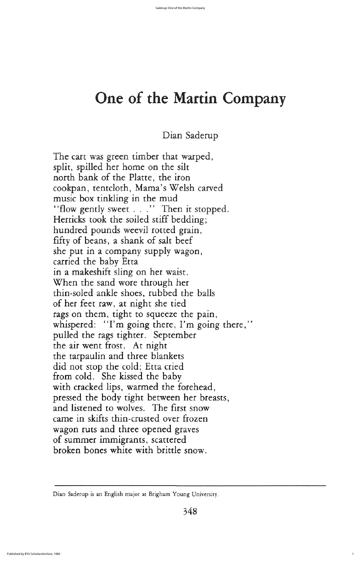The cart was green timber that warped, split, spilled her home on the silt north bank of the Platte, the iron cookpan, tentcloth, Mama's Welsh carved music box tinkling in the mud "flow gently sweet  $\ldots$ " Then it stopped. Herricks took the soiled stiff bedding; hundred pounds weevil rotted grain, fifty of beans, a shank of salt beef she put in a company supply wagon carried the baby Etta in a makeshift sling on her waist when the sand wore through her thin-soled ankle shoes, rubbed the balls of her feet raw, at night she tied rags on them, tight to squeeze the pain, whispered: "I'm going there, I'm going there," pulled the rags tighter. September the air went frost. At night the tarpaulin and three blankets did not stop the cold; Etta cried from cold. She kissed the baby with cracked lips, warmed the forehead, pressed the body tight between her breasts and listened to wolves. The first snow came in skifts thin-crusted over frozen wagon ruts and three opened graves of summer immigrants, scattered broken bones white with brittle snow

Dian Saderup is an English major at Brigham Young University.

348

1

# One of the Martin Company

# Dian Saderup